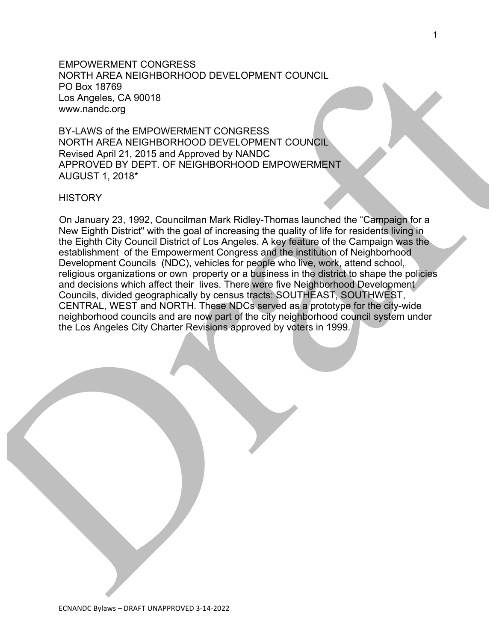EMPOWERMENT CONGRESS NORTH AREA NEIGHBORHOOD DEVELOPMENT COUNCIL PO Box 18769 Los Angeles, CA 90018 www.nandc.org

BY-LAWS of the EMPOWERMENT CONGRESS NORTH AREA NEIGHBORHOOD DEVELOPMENT COUNCIL Revised April 21, 2015 and Approved by NANDC APPROVED BY DEPT. OF NEIGHBORHOOD EMPOWERMENT AUGUST 1, 2018\*

#### **HISTORY**

On January 23, 1992, Councilman Mark Ridley-Thomas launched the "Campaign for a New Eighth District" with the goal of increasing the quality of life for residents living in the Eighth City Council District of Los Angeles. A key feature of the Campaign was the establishment of the Empowerment Congress and the institution of Neighborhood Development Councils (NDC), vehicles for people who live, work, attend school, religious organizations or own property or a business in the district to shape the policies and decisions which affect their lives. There were five Neighborhood Development Councils, divided geographically by census tracts: SOUTHEAST, SOUTHWEST, CENTRAL, WEST and NORTH. These NDCs served as a prototype for the city-wide neighborhood councils and are now part of the city neighborhood council system under the Los Angeles City Charter Revisions approved by voters in 1999.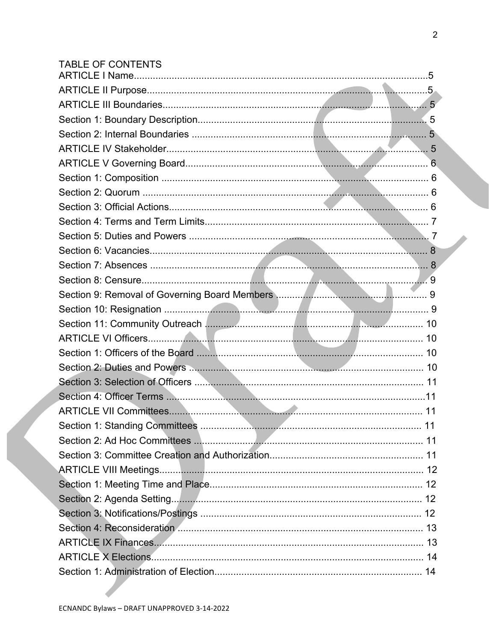| <b>TABLE OF CONTENTS</b> |  |
|--------------------------|--|
|                          |  |
|                          |  |
|                          |  |
|                          |  |
|                          |  |
|                          |  |
|                          |  |
|                          |  |
|                          |  |
|                          |  |
|                          |  |
|                          |  |
|                          |  |
|                          |  |
|                          |  |
|                          |  |
|                          |  |
|                          |  |
|                          |  |
|                          |  |
|                          |  |
|                          |  |
|                          |  |
|                          |  |
|                          |  |
|                          |  |
|                          |  |
|                          |  |
|                          |  |
|                          |  |
|                          |  |
|                          |  |
|                          |  |
|                          |  |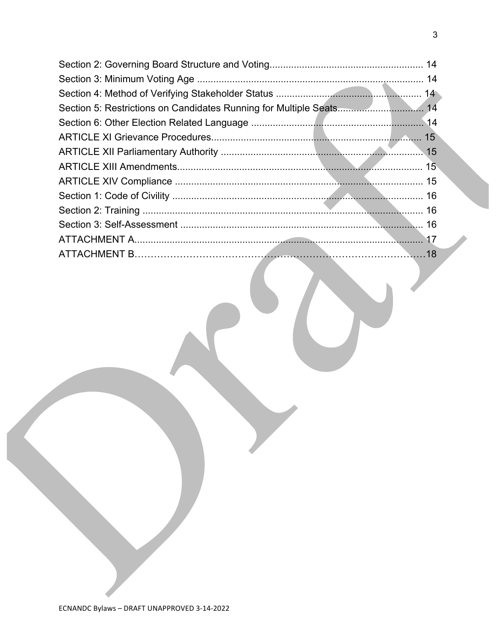$\mathbf{3}$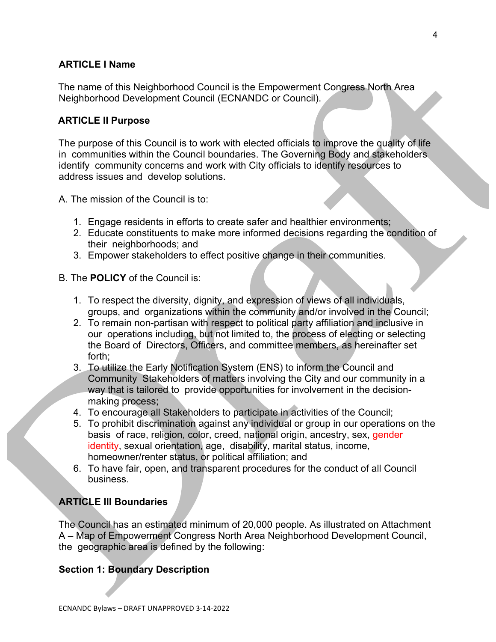## **ARTICLE I Name**

The name of this Neighborhood Council is the Empowerment Congress North Area Neighborhood Development Council (ECNANDC or Council).

## **ARTICLE II Purpose**

The purpose of this Council is to work with elected officials to improve the quality of life in communities within the Council boundaries. The Governing Body and stakeholders identify community concerns and work with City officials to identify resources to address issues and develop solutions.

- A. The mission of the Council is to:
	- 1. Engage residents in efforts to create safer and healthier environments;
	- 2. Educate constituents to make more informed decisions regarding the condition of their neighborhoods; and
	- 3. Empower stakeholders to effect positive change in their communities.
- B. The **POLICY** of the Council is:
	- 1. To respect the diversity, dignity, and expression of views of all individuals, groups, and organizations within the community and/or involved in the Council;
	- 2. To remain non-partisan with respect to political party affiliation and inclusive in our operations including, but not limited to, the process of electing or selecting the Board of Directors, Officers, and committee members, as hereinafter set forth;
	- 3. To utilize the Early Notification System (ENS) to inform the Council and Community Stakeholders of matters involving the City and our community in a way that is tailored to provide opportunities for involvement in the decisionmaking process;
	- 4. To encourage all Stakeholders to participate in activities of the Council;
	- 5. To prohibit discrimination against any individual or group in our operations on the basis of race, religion, color, creed, national origin, ancestry, sex, gender identity, sexual orientation, age, disability, marital status, income, homeowner/renter status, or political affiliation; and
	- 6. To have fair, open, and transparent procedures for the conduct of all Council business.

## **ARTICLE III Boundaries**

The Council has an estimated minimum of 20,000 people. As illustrated on Attachment A – Map of Empowerment Congress North Area Neighborhood Development Council, the geographic area is defined by the following:

## **Section 1: Boundary Description**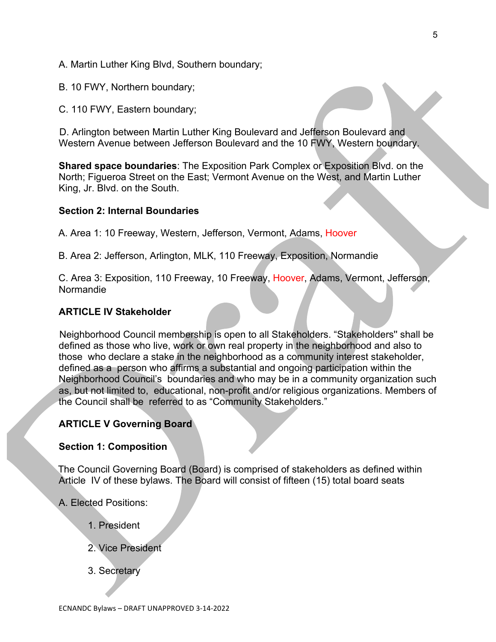- A. Martin Luther King Blvd, Southern boundary;
- B. 10 FWY, Northern boundary;
- C. 110 FWY, Eastern boundary;

D. Arlington between Martin Luther King Boulevard and Jefferson Boulevard and Western Avenue between Jefferson Boulevard and the 10 FWY, Western boundary.

**Shared space boundaries**: The Exposition Park Complex or Exposition Blvd. on the North; Figueroa Street on the East; Vermont Avenue on the West, and Martin Luther King, Jr. Blvd. on the South.

#### **Section 2: Internal Boundaries**

A. Area 1: 10 Freeway, Western, Jefferson, Vermont, Adams, Hoover

B. Area 2: Jefferson, Arlington, MLK, 110 Freeway, Exposition, Normandie

C. Area 3: Exposition, 110 Freeway, 10 Freeway, Hoover, Adams, Vermont, Jefferson, Normandie

### **ARTICLE IV Stakeholder**

Neighborhood Council membership is open to all Stakeholders. "Stakeholders'' shall be defined as those who live, work or own real property in the neighborhood and also to those who declare a stake in the neighborhood as a community interest stakeholder, defined as a person who affirms a substantial and ongoing participation within the Neighborhood Council's boundaries and who may be in a community organization such as, but not limited to, educational, non-profit and/or religious organizations. Members of the Council shall be referred to as "Community Stakeholders."

### **ARTICLE V Governing Board**

#### **Section 1: Composition**

The Council Governing Board (Board) is comprised of stakeholders as defined within Article IV of these bylaws. The Board will consist of fifteen (15) total board seats

A. Elected Positions:

- 1. President
- 2. Vice President
- 3. Secretary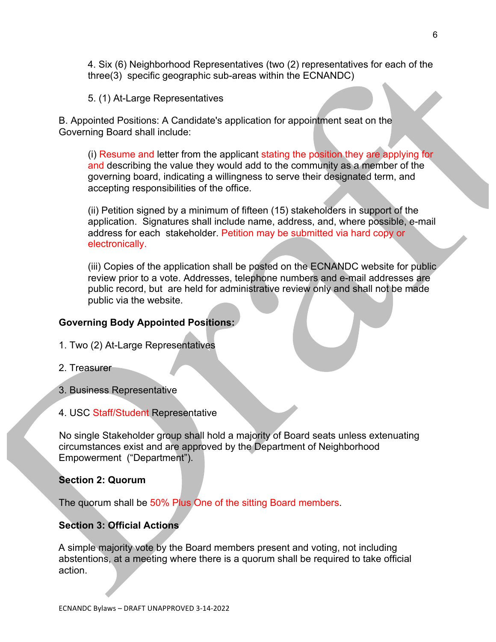4. Six (6) Neighborhood Representatives (two (2) representatives for each of the three(3) specific geographic sub-areas within the ECNANDC)

5. (1) At-Large Representatives

B. Appointed Positions: A Candidate's application for appointment seat on the Governing Board shall include:

(i) Resume and letter from the applicant stating the position they are applying for and describing the value they would add to the community as a member of the governing board, indicating a willingness to serve their designated term, and accepting responsibilities of the office.

(ii) Petition signed by a minimum of fifteen (15) stakeholders in support of the application. Signatures shall include name, address, and, where possible, e-mail address for each stakeholder. Petition may be submitted via hard copy or electronically.

(iii) Copies of the application shall be posted on the ECNANDC website for public review prior to a vote. Addresses, telephone numbers and e-mail addresses are public record, but are held for administrative review only and shall not be made public via the website.

## **Governing Body Appointed Positions:**

- 1. Two (2) At-Large Representatives
- 2. Treasurer
- 3. Business Representative
- 4. USC Staff/Student Representative

No single Stakeholder group shall hold a majority of Board seats unless extenuating circumstances exist and are approved by the Department of Neighborhood Empowerment ("Department").

### **Section 2: Quorum**

The quorum shall be 50% Plus One of the sitting Board members.

## **Section 3: Official Actions**

A simple majority vote by the Board members present and voting, not including abstentions, at a meeting where there is a quorum shall be required to take official action.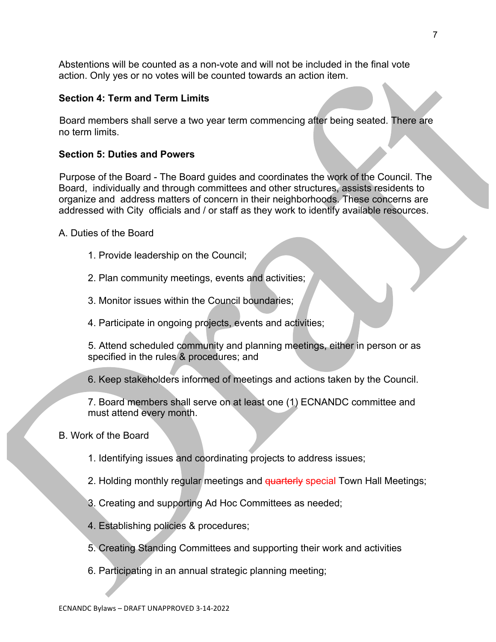Abstentions will be counted as a non-vote and will not be included in the final vote action. Only yes or no votes will be counted towards an action item.

## **Section 4: Term and Term Limits**

Board members shall serve a two year term commencing after being seated. There are no term limits.

## **Section 5: Duties and Powers**

Purpose of the Board - The Board guides and coordinates the work of the Council. The Board, individually and through committees and other structures, assists residents to organize and address matters of concern in their neighborhoods. These concerns are addressed with City officials and / or staff as they work to identify available resources.

A. Duties of the Board

- 1. Provide leadership on the Council;
- 2. Plan community meetings, events and activities;
- 3. Monitor issues within the Council boundaries;
- 4. Participate in ongoing projects, events and activities;

5. Attend scheduled community and planning meetings, either in person or as specified in the rules & procedures; and

6. Keep stakeholders informed of meetings and actions taken by the Council.

7. Board members shall serve on at least one (1) ECNANDC committee and must attend every month.

## B. Work of the Board

- 1. Identifying issues and coordinating projects to address issues;
- 2. Holding monthly regular meetings and quarterly special Town Hall Meetings;
- 3. Creating and supporting Ad Hoc Committees as needed;
- 4. Establishing policies & procedures;
- 5. Creating Standing Committees and supporting their work and activities
- 6. Participating in an annual strategic planning meeting;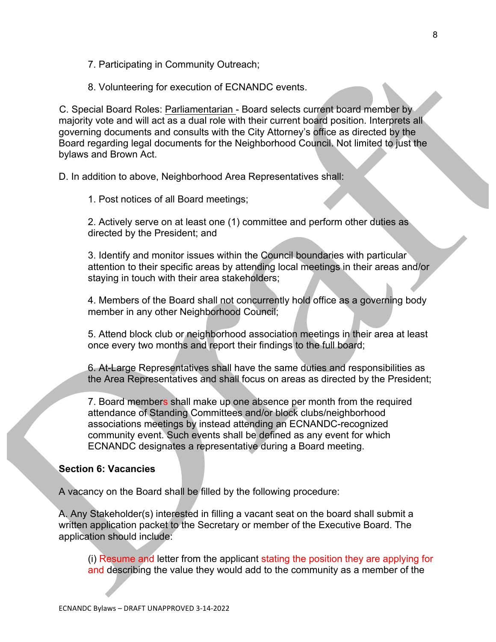7. Participating in Community Outreach;

8. Volunteering for execution of ECNANDC events.

C. Special Board Roles: Parliamentarian - Board selects current board member by majority vote and will act as a dual role with their current board position. Interprets all governing documents and consults with the City Attorney's office as directed by the Board regarding legal documents for the Neighborhood Council. Not limited to just the bylaws and Brown Act.

D. In addition to above, Neighborhood Area Representatives shall:

1. Post notices of all Board meetings;

2. Actively serve on at least one (1) committee and perform other duties as directed by the President; and

3. Identify and monitor issues within the Council boundaries with particular attention to their specific areas by attending local meetings in their areas and/or staying in touch with their area stakeholders;

4. Members of the Board shall not concurrently hold office as a governing body member in any other Neighborhood Council;

5. Attend block club or neighborhood association meetings in their area at least once every two months and report their findings to the full board;

6. At-Large Representatives shall have the same duties and responsibilities as the Area Representatives and shall focus on areas as directed by the President;

7. Board members shall make up one absence per month from the required attendance of Standing Committees and/or block clubs/neighborhood associations meetings by instead attending an ECNANDC-recognized community event. Such events shall be defined as any event for which ECNANDC designates a representative during a Board meeting.

### **Section 6: Vacancies**

A vacancy on the Board shall be filled by the following procedure:

A. Any Stakeholder(s) interested in filling a vacant seat on the board shall submit a written application packet to the Secretary or member of the Executive Board. The application should include:

(i) Resume and letter from the applicant stating the position they are applying for and describing the value they would add to the community as a member of the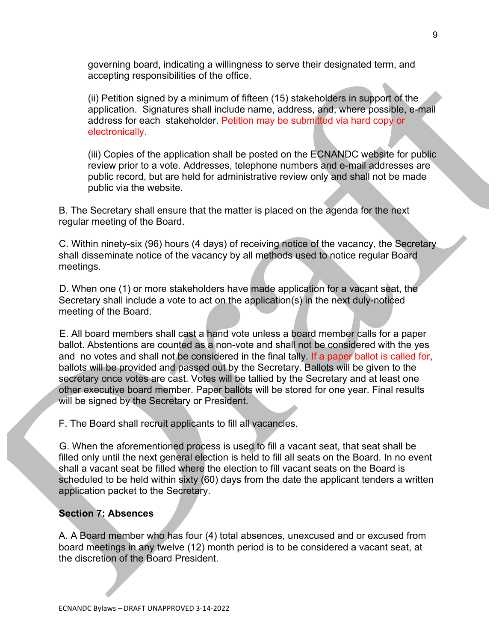governing board, indicating a willingness to serve their designated term, and accepting responsibilities of the office.

(ii) Petition signed by a minimum of fifteen (15) stakeholders in support of the application. Signatures shall include name, address, and, where possible, e-mail address for each stakeholder. Petition may be submitted via hard copy or electronically.

(iii) Copies of the application shall be posted on the ECNANDC website for public review prior to a vote. Addresses, telephone numbers and e-mail addresses are public record, but are held for administrative review only and shall not be made public via the website.

B. The Secretary shall ensure that the matter is placed on the agenda for the next regular meeting of the Board.

C. Within ninety-six (96) hours (4 days) of receiving notice of the vacancy, the Secretary shall disseminate notice of the vacancy by all methods used to notice regular Board meetings.

D. When one (1) or more stakeholders have made application for a vacant seat, the Secretary shall include a vote to act on the application(s) in the next duly-noticed meeting of the Board.

E. All board members shall cast a hand vote unless a board member calls for a paper ballot. Abstentions are counted as a non-vote and shall not be considered with the yes and no votes and shall not be considered in the final tally. If a paper ballot is called for, ballots will be provided and passed out by the Secretary. Ballots will be given to the secretary once votes are cast. Votes will be tallied by the Secretary and at least one other executive board member. Paper ballots will be stored for one year. Final results will be signed by the Secretary or President.

F. The Board shall recruit applicants to fill all vacancies.

G. When the aforementioned process is used to fill a vacant seat, that seat shall be filled only until the next general election is held to fill all seats on the Board. In no event shall a vacant seat be filled where the election to fill vacant seats on the Board is scheduled to be held within sixty (60) days from the date the applicant tenders a written application packet to the Secretary.

### **Section 7: Absences**

A. A Board member who has four (4) total absences, unexcused and or excused from board meetings in any twelve (12) month period is to be considered a vacant seat, at the discretion of the Board President.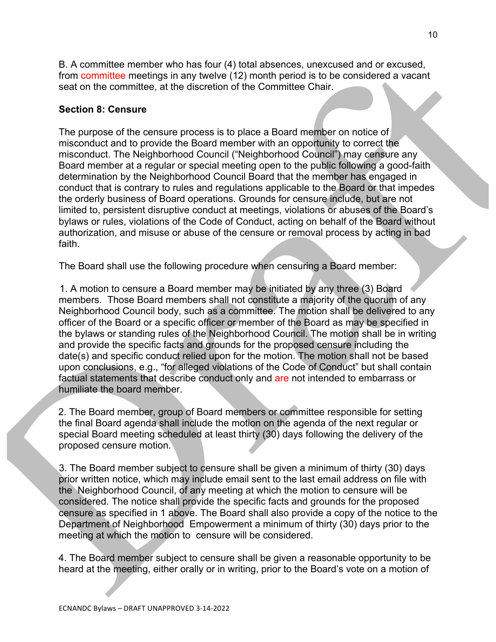B. A committee member who has four (4) total absences, unexcused and or excused, from committee meetings in any twelve (12) month period is to be considered a vacant seat on the committee, at the discretion of the Committee Chair.

### **Section 8: Censure**

The purpose of the censure process is to place a Board member on notice of misconduct and to provide the Board member with an opportunity to correct the misconduct. The Neighborhood Council ("Neighborhood Council") may censure any Board member at a regular or special meeting open to the public following a good-faith determination by the Neighborhood Council Board that the member has engaged in conduct that is contrary to rules and regulations applicable to the Board or that impedes the orderly business of Board operations. Grounds for censure include, but are not limited to, persistent disruptive conduct at meetings, violations or abuses of the Board's bylaws or rules, violations of the Code of Conduct, acting on behalf of the Board without authorization, and misuse or abuse of the censure or removal process by acting in bad faith.

The Board shall use the following procedure when censuring a Board member:

1. A motion to censure a Board member may be initiated by any three (3) Board members. Those Board members shall not constitute a majority of the quorum of any Neighborhood Council body, such as a committee. The motion shall be delivered to any officer of the Board or a specific officer or member of the Board as may be specified in the bylaws or standing rules of the Neighborhood Council. The motion shall be in writing and provide the specific facts and grounds for the proposed censure including the date(s) and specific conduct relied upon for the motion. The motion shall not be based upon conclusions, e.g., "for alleged violations of the Code of Conduct" but shall contain factual statements that describe conduct only and are not intended to embarrass or humiliate the board member.

2. The Board member, group of Board members or committee responsible for setting the final Board agenda shall include the motion on the agenda of the next regular or special Board meeting scheduled at least thirty (30) days following the delivery of the proposed censure motion.

3. The Board member subject to censure shall be given a minimum of thirty (30) days prior written notice, which may include email sent to the last email address on file with the Neighborhood Council, of any meeting at which the motion to censure will be considered. The notice shall provide the specific facts and grounds for the proposed censure as specified in 1 above. The Board shall also provide a copy of the notice to the Department of Neighborhood Empowerment a minimum of thirty (30) days prior to the meeting at which the motion to censure will be considered.

4. The Board member subject to censure shall be given a reasonable opportunity to be heard at the meeting, either orally or in writing, prior to the Board's vote on a motion of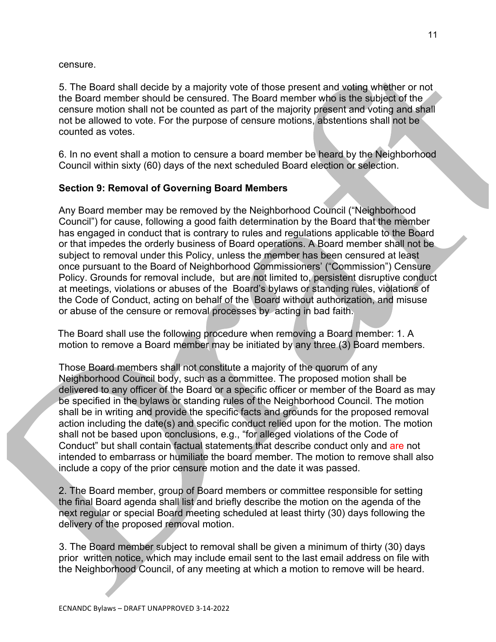censure.

5. The Board shall decide by a majority vote of those present and voting whether or not the Board member should be censured. The Board member who is the subject of the censure motion shall not be counted as part of the majority present and voting and shall not be allowed to vote. For the purpose of censure motions, abstentions shall not be counted as votes.

6. In no event shall a motion to censure a board member be heard by the Neighborhood Council within sixty (60) days of the next scheduled Board election or selection.

## **Section 9: Removal of Governing Board Members**

Any Board member may be removed by the Neighborhood Council ("Neighborhood Council") for cause, following a good faith determination by the Board that the member has engaged in conduct that is contrary to rules and regulations applicable to the Board or that impedes the orderly business of Board operations. A Board member shall not be subject to removal under this Policy, unless the member has been censured at least once pursuant to the Board of Neighborhood Commissioners' ("Commission") Censure Policy. Grounds for removal include, but are not limited to, persistent disruptive conduct at meetings, violations or abuses of the Board's bylaws or standing rules, violations of the Code of Conduct, acting on behalf of the Board without authorization, and misuse or abuse of the censure or removal processes by acting in bad faith.

The Board shall use the following procedure when removing a Board member: 1. A motion to remove a Board member may be initiated by any three (3) Board members.

Those Board members shall not constitute a majority of the quorum of any Neighborhood Council body, such as a committee. The proposed motion shall be delivered to any officer of the Board or a specific officer or member of the Board as may be specified in the bylaws or standing rules of the Neighborhood Council. The motion shall be in writing and provide the specific facts and grounds for the proposed removal action including the date(s) and specific conduct relied upon for the motion. The motion shall not be based upon conclusions, e.g., "for alleged violations of the Code of Conduct" but shall contain factual statements that describe conduct only and are not intended to embarrass or humiliate the board member. The motion to remove shall also include a copy of the prior censure motion and the date it was passed.

2. The Board member, group of Board members or committee responsible for setting the final Board agenda shall list and briefly describe the motion on the agenda of the next regular or special Board meeting scheduled at least thirty (30) days following the delivery of the proposed removal motion.

3. The Board member subject to removal shall be given a minimum of thirty (30) days prior written notice, which may include email sent to the last email address on file with the Neighborhood Council, of any meeting at which a motion to remove will be heard.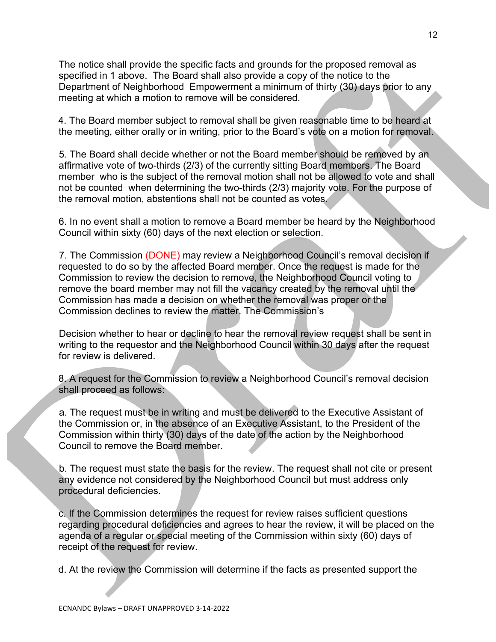The notice shall provide the specific facts and grounds for the proposed removal as specified in 1 above. The Board shall also provide a copy of the notice to the Department of Neighborhood Empowerment a minimum of thirty (30) days prior to any meeting at which a motion to remove will be considered.

4. The Board member subject to removal shall be given reasonable time to be heard at the meeting, either orally or in writing, prior to the Board's vote on a motion for removal.

5. The Board shall decide whether or not the Board member should be removed by an affirmative vote of two-thirds (2/3) of the currently sitting Board members. The Board member who is the subject of the removal motion shall not be allowed to vote and shall not be counted when determining the two-thirds (2/3) majority vote. For the purpose of the removal motion, abstentions shall not be counted as votes.

6. In no event shall a motion to remove a Board member be heard by the Neighborhood Council within sixty (60) days of the next election or selection.

7. The Commission (DONE) may review a Neighborhood Council's removal decision if requested to do so by the affected Board member. Once the request is made for the Commission to review the decision to remove, the Neighborhood Council voting to remove the board member may not fill the vacancy created by the removal until the Commission has made a decision on whether the removal was proper or the Commission declines to review the matter. The Commission's

Decision whether to hear or decline to hear the removal review request shall be sent in writing to the requestor and the Neighborhood Council within 30 days after the request for review is delivered.

8. A request for the Commission to review a Neighborhood Council's removal decision shall proceed as follows:

a. The request must be in writing and must be delivered to the Executive Assistant of the Commission or, in the absence of an Executive Assistant, to the President of the Commission within thirty (30) days of the date of the action by the Neighborhood Council to remove the Board member.

b. The request must state the basis for the review. The request shall not cite or present any evidence not considered by the Neighborhood Council but must address only procedural deficiencies.

c. If the Commission determines the request for review raises sufficient questions regarding procedural deficiencies and agrees to hear the review, it will be placed on the agenda of a regular or special meeting of the Commission within sixty (60) days of receipt of the request for review.

d. At the review the Commission will determine if the facts as presented support the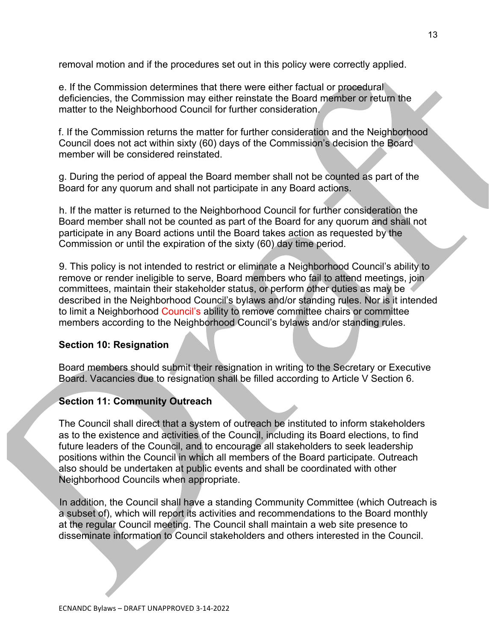removal motion and if the procedures set out in this policy were correctly applied.

e. If the Commission determines that there were either factual or procedural deficiencies, the Commission may either reinstate the Board member or return the matter to the Neighborhood Council for further consideration.

f. If the Commission returns the matter for further consideration and the Neighborhood Council does not act within sixty (60) days of the Commission's decision the Board member will be considered reinstated.

g. During the period of appeal the Board member shall not be counted as part of the Board for any quorum and shall not participate in any Board actions.

h. If the matter is returned to the Neighborhood Council for further consideration the Board member shall not be counted as part of the Board for any quorum and shall not participate in any Board actions until the Board takes action as requested by the Commission or until the expiration of the sixty (60) day time period.

9. This policy is not intended to restrict or eliminate a Neighborhood Council's ability to remove or render ineligible to serve, Board members who fail to attend meetings, join committees, maintain their stakeholder status, or perform other duties as may be described in the Neighborhood Council's bylaws and/or standing rules. Nor is it intended to limit a Neighborhood Council's ability to remove committee chairs or committee members according to the Neighborhood Council's bylaws and/or standing rules.

## **Section 10: Resignation**

Board members should submit their resignation in writing to the Secretary or Executive Board. Vacancies due to resignation shall be filled according to Article V Section 6.

## **Section 11: Community Outreach**

The Council shall direct that a system of outreach be instituted to inform stakeholders as to the existence and activities of the Council, including its Board elections, to find future leaders of the Council, and to encourage all stakeholders to seek leadership positions within the Council in which all members of the Board participate. Outreach also should be undertaken at public events and shall be coordinated with other Neighborhood Councils when appropriate.

In addition, the Council shall have a standing Community Committee (which Outreach is a subset of), which will report its activities and recommendations to the Board monthly at the regular Council meeting. The Council shall maintain a web site presence to disseminate information to Council stakeholders and others interested in the Council.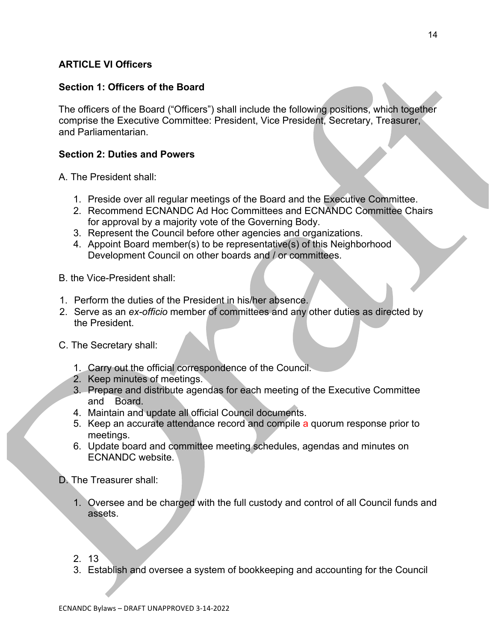## **ARTICLE VI Officers**

## **Section 1: Officers of the Board**

The officers of the Board ("Officers") shall include the following positions, which together comprise the Executive Committee: President, Vice President, Secretary, Treasurer, and Parliamentarian.

## **Section 2: Duties and Powers**

A. The President shall:

- 1. Preside over all regular meetings of the Board and the Executive Committee.
- 2. Recommend ECNANDC Ad Hoc Committees and ECNANDC Committee Chairs for approval by a majority vote of the Governing Body.
- 3. Represent the Council before other agencies and organizations.
- 4. Appoint Board member(s) to be representative(s) of this Neighborhood Development Council on other boards and / or committees.
- B. the Vice-President shall:
- 1. Perform the duties of the President in his/her absence.
- 2. Serve as an *ex-officio* member of committees and any other duties as directed by the President.
- C. The Secretary shall:
	- 1. Carry out the official correspondence of the Council.
	- 2. Keep minutes of meetings.
	- 3. Prepare and distribute agendas for each meeting of the Executive Committee and Board.
	- 4. Maintain and update all official Council documents.
	- 5. Keep an accurate attendance record and compile a quorum response prior to meetings.
	- 6. Update board and committee meeting schedules, agendas and minutes on ECNANDC website.
- D. The Treasurer shall:
	- 1. Oversee and be charged with the full custody and control of all Council funds and assets.
	- 2. 13
	- 3. Establish and oversee a system of bookkeeping and accounting for the Council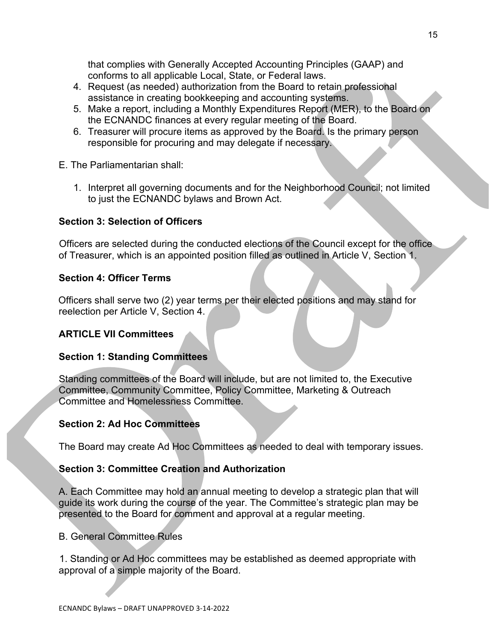ECNANDC Bylaws - DRAFT UNAPPROVED 3-14-2022

that complies with Generally Accepted Accounting Principles (GAAP) and conforms to all applicable Local, State, or Federal laws.

- 4. Request (as needed) authorization from the Board to retain professional assistance in creating bookkeeping and accounting systems.
- 5. Make a report, including a Monthly Expenditures Report (MER), to the Board on the ECNANDC finances at every regular meeting of the Board.
- 6. Treasurer will procure items as approved by the Board. Is the primary person responsible for procuring and may delegate if necessary.

E. The Parliamentarian shall:

1. Interpret all governing documents and for the Neighborhood Council; not limited to just the ECNANDC bylaws and Brown Act.

# **Section 3: Selection of Officers**

Officers are selected during the conducted elections of the Council except for the office of Treasurer, which is an appointed position filled as outlined in Article V, Section 1.

# **Section 4: Officer Terms**

Officers shall serve two (2) year terms per their elected positions and may stand for reelection per Article V, Section 4.

# **ARTICLE VII Committees**

# **Section 1: Standing Committees**

Standing committees of the Board will include, but are not limited to, the Executive Committee, Community Committee, Policy Committee, Marketing & Outreach Committee and Homelessness Committee.

# **Section 2: Ad Hoc Committees**

The Board may create Ad Hoc Committees as needed to deal with temporary issues.

# **Section 3: Committee Creation and Authorization**

A. Each Committee may hold an annual meeting to develop a strategic plan that will guide its work during the course of the year. The Committee's strategic plan may be presented to the Board for comment and approval at a regular meeting.

B. General Committee Rules

1. Standing or Ad Hoc committees may be established as deemed appropriate with approval of a simple majority of the Board.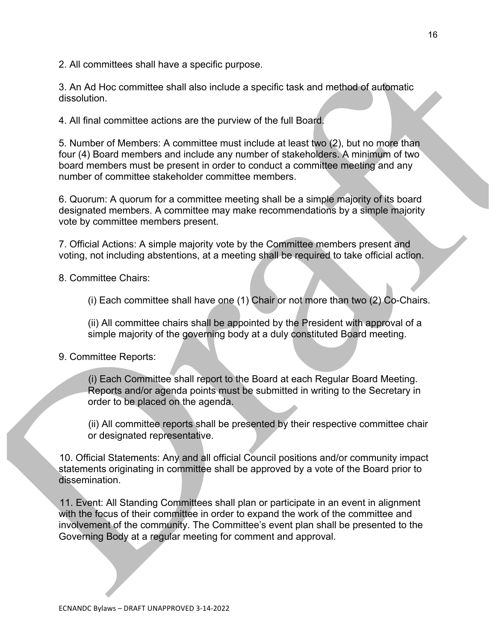2. All committees shall have a specific purpose.

3. An Ad Hoc committee shall also include a specific task and method of automatic dissolution.

4. All final committee actions are the purview of the full Board.

5. Number of Members: A committee must include at least two (2), but no more than four (4) Board members and include any number of stakeholders. A minimum of two board members must be present in order to conduct a committee meeting and any number of committee stakeholder committee members.

6. Quorum: A quorum for a committee meeting shall be a simple majority of its board designated members. A committee may make recommendations by a simple majority vote by committee members present.

7. Official Actions: A simple majority vote by the Committee members present and voting, not including abstentions, at a meeting shall be required to take official action.

8. Committee Chairs:

(i) Each committee shall have one (1) Chair or not more than two (2) Co-Chairs.

(ii) All committee chairs shall be appointed by the President with approval of a simple majority of the governing body at a duly constituted Board meeting.

### 9. Committee Reports:

(i) Each Committee shall report to the Board at each Regular Board Meeting. Reports and/or agenda points must be submitted in writing to the Secretary in order to be placed on the agenda.

(ii) All committee reports shall be presented by their respective committee chair or designated representative.

10. Official Statements: Any and all official Council positions and/or community impact statements originating in committee shall be approved by a vote of the Board prior to dissemination.

11. Event: All Standing Committees shall plan or participate in an event in alignment with the focus of their committee in order to expand the work of the committee and involvement of the community. The Committee's event plan shall be presented to the Governing Body at a regular meeting for comment and approval.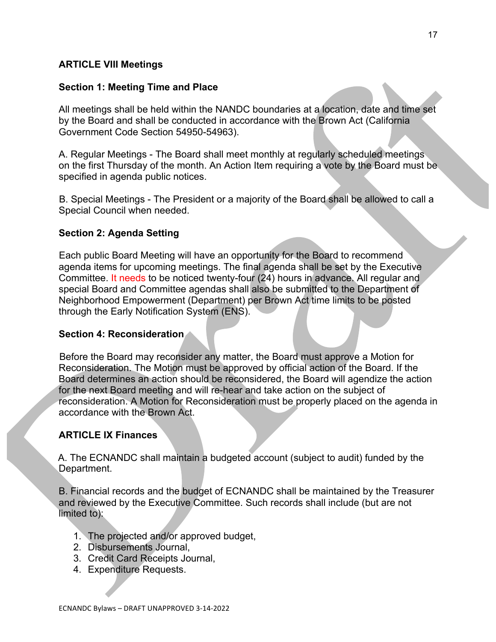## **ARTICLE VIII Meetings**

### **Section 1: Meeting Time and Place**

All meetings shall be held within the NANDC boundaries at a location, date and time set by the Board and shall be conducted in accordance with the Brown Act (California Government Code Section 54950-54963).

A. Regular Meetings - The Board shall meet monthly at regularly scheduled meetings on the first Thursday of the month. An Action Item requiring a vote by the Board must be specified in agenda public notices.

B. Special Meetings - The President or a majority of the Board shall be allowed to call a Special Council when needed.

## **Section 2: Agenda Setting**

Each public Board Meeting will have an opportunity for the Board to recommend agenda items for upcoming meetings. The final agenda shall be set by the Executive Committee. It needs to be noticed twenty-four (24) hours in advance. All regular and special Board and Committee agendas shall also be submitted to the Department of Neighborhood Empowerment (Department) per Brown Act time limits to be posted through the Early Notification System (ENS).

### **Section 4: Reconsideration**

Before the Board may reconsider any matter, the Board must approve a Motion for Reconsideration. The Motion must be approved by official action of the Board. If the Board determines an action should be reconsidered, the Board will agendize the action for the next Board meeting and will re-hear and take action on the subject of reconsideration. A Motion for Reconsideration must be properly placed on the agenda in accordance with the Brown Act.

### **ARTICLE IX Finances**

A. The ECNANDC shall maintain a budgeted account (subject to audit) funded by the Department.

B. Financial records and the budget of ECNANDC shall be maintained by the Treasurer and reviewed by the Executive Committee. Such records shall include (but are not limited to):

- 1. The projected and/or approved budget,
- 2. Disbursements Journal,
- 3. Credit Card Receipts Journal,
- 4. Expenditure Requests.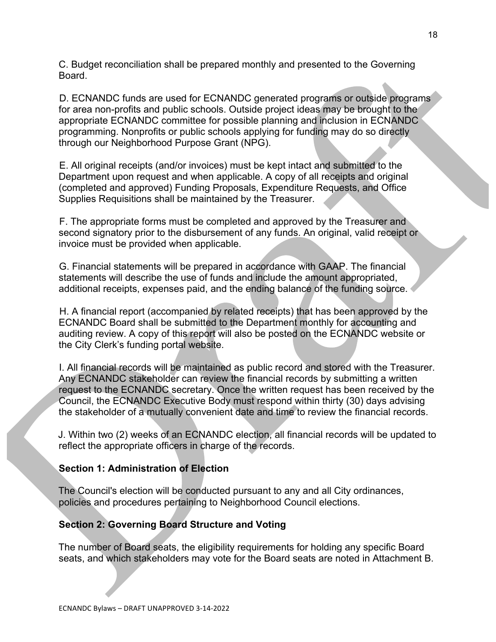C. Budget reconciliation shall be prepared monthly and presented to the Governing Board.

D. ECNANDC funds are used for ECNANDC generated programs or outside programs for area non-profits and public schools. Outside project ideas may be brought to the appropriate ECNANDC committee for possible planning and inclusion in ECNANDC programming. Nonprofits or public schools applying for funding may do so directly through our Neighborhood Purpose Grant (NPG).

E. All original receipts (and/or invoices) must be kept intact and submitted to the Department upon request and when applicable. A copy of all receipts and original (completed and approved) Funding Proposals, Expenditure Requests, and Office Supplies Requisitions shall be maintained by the Treasurer.

F. The appropriate forms must be completed and approved by the Treasurer and second signatory prior to the disbursement of any funds. An original, valid receipt or invoice must be provided when applicable.

G. Financial statements will be prepared in accordance with GAAP. The financial statements will describe the use of funds and include the amount appropriated, additional receipts, expenses paid, and the ending balance of the funding source.

H. A financial report (accompanied by related receipts) that has been approved by the ECNANDC Board shall be submitted to the Department monthly for accounting and auditing review. A copy of this report will also be posted on the ECNANDC website or the City Clerk's funding portal website.

I. All financial records will be maintained as public record and stored with the Treasurer. Any ECNANDC stakeholder can review the financial records by submitting a written request to the ECNANDC secretary. Once the written request has been received by the Council, the ECNANDC Executive Body must respond within thirty (30) days advising the stakeholder of a mutually convenient date and time to review the financial records.

J. Within two (2) weeks of an ECNANDC election, all financial records will be updated to reflect the appropriate officers in charge of the records.

## **Section 1: Administration of Election**

The Council's election will be conducted pursuant to any and all City ordinances, policies and procedures pertaining to Neighborhood Council elections.

## **Section 2: Governing Board Structure and Voting**

The number of Board seats, the eligibility requirements for holding any specific Board seats, and which stakeholders may vote for the Board seats are noted in Attachment B.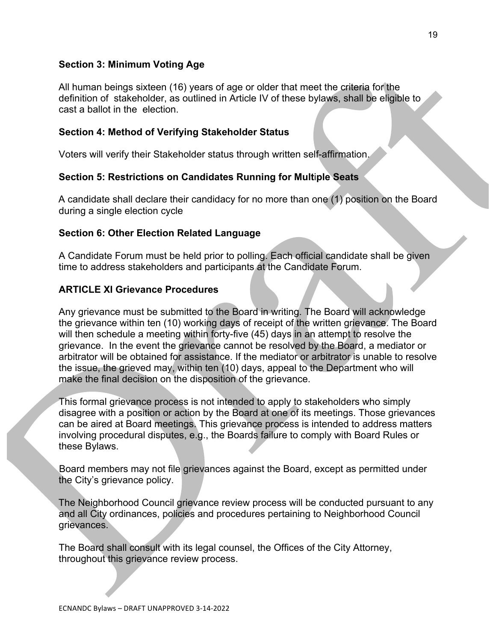## **Section 3: Minimum Voting Age**

All human beings sixteen (16) years of age or older that meet the criteria for the definition of stakeholder, as outlined in Article IV of these bylaws, shall be eligible to cast a ballot in the election.

## **Section 4: Method of Verifying Stakeholder Status**

Voters will verify their Stakeholder status through written self-affirmation.

## **Section 5: Restrictions on Candidates Running for Mult**i**ple Seats**

A candidate shall declare their candidacy for no more than one (1) position on the Board during a single election cycle

## **Section 6: Other Election Related Language**

A Candidate Forum must be held prior to polling. Each official candidate shall be given time to address stakeholders and participants at the Candidate Forum.

## **ARTICLE XI Grievance Procedures**

Any grievance must be submitted to the Board in writing. The Board will acknowledge the grievance within ten (10) working days of receipt of the written grievance. The Board will then schedule a meeting within forty-five (45) days in an attempt to resolve the grievance. In the event the grievance cannot be resolved by the Board, a mediator or arbitrator will be obtained for assistance. If the mediator or arbitrator is unable to resolve the issue, the grieved may, within ten (10) days, appeal to the Department who will make the final decision on the disposition of the grievance.

This formal grievance process is not intended to apply to stakeholders who simply disagree with a position or action by the Board at one of its meetings. Those grievances can be aired at Board meetings. This grievance process is intended to address matters involving procedural disputes, e.g., the Boards failure to comply with Board Rules or these Bylaws.

Board members may not file grievances against the Board, except as permitted under the City's grievance policy.

The Neighborhood Council grievance review process will be conducted pursuant to any and all City ordinances, policies and procedures pertaining to Neighborhood Council grievances.

The Board shall consult with its legal counsel, the Offices of the City Attorney, throughout this grievance review process.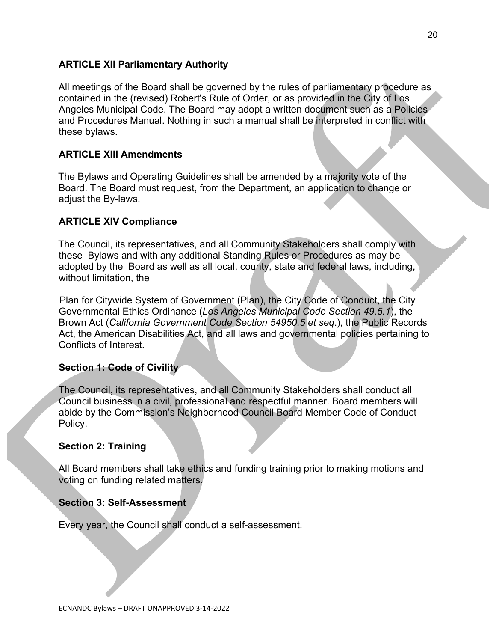## **ARTICLE XII Parliamentary Authority**

All meetings of the Board shall be governed by the rules of parliamentary procedure as contained in the (revised) Robert's Rule of Order, or as provided in the City of Los Angeles Municipal Code. The Board may adopt a written document such as a Policies and Procedures Manual. Nothing in such a manual shall be interpreted in conflict with these bylaws.

## **ARTICLE XIII Amendments**

The Bylaws and Operating Guidelines shall be amended by a majority vote of the Board. The Board must request, from the Department, an application to change or adjust the By-laws.

## **ARTICLE XIV Compliance**

The Council, its representatives, and all Community Stakeholders shall comply with these Bylaws and with any additional Standing Rules or Procedures as may be adopted by the Board as well as all local, county, state and federal laws, including, without limitation, the

Plan for Citywide System of Government (Plan), the City Code of Conduct, the City Governmental Ethics Ordinance (*Los Angeles Municipal Code Section 49.5.1*), the Brown Act (*California Government Code Section 54950.5 et seq*.), the Public Records Act, the American Disabilities Act, and all laws and governmental policies pertaining to Conflicts of Interest.

## **Section 1: Code of Civility**

The Council, its representatives, and all Community Stakeholders shall conduct all Council business in a civil, professional and respectful manner. Board members will abide by the Commission's Neighborhood Council Board Member Code of Conduct Policy.

## **Section 2: Training**

All Board members shall take ethics and funding training prior to making motions and voting on funding related matters.

## **Section 3: Self-Assessment**

Every year, the Council shall conduct a self-assessment.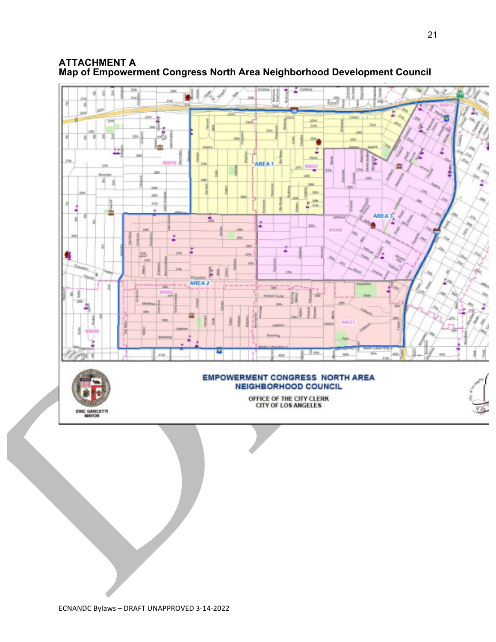### **ATTACHMENT A Map of Empowerment Congress North Area Neighborhood Development Council**

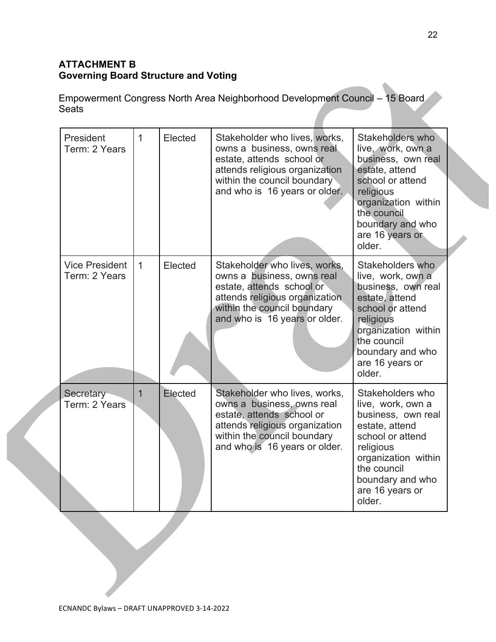# **ATTACHMENT B Governing Board Structure and Voting**

Empowerment Congress North Area Neighborhood Development Council – 15 Board **Seats** 

| President<br>Term: 2 Years             | $\mathbf{1}$   | Elected | Stakeholder who lives, works,<br>owns a business, owns real<br>estate, attends school or<br>attends religious organization<br>within the council boundary<br>and who is 16 years or older. | Stakeholders who<br>live, work, own a<br>business, own real<br>estate, attend<br>school or attend<br>religious<br>organization within<br>the council<br>boundary and who<br>are 16 years or<br>older. |
|----------------------------------------|----------------|---------|--------------------------------------------------------------------------------------------------------------------------------------------------------------------------------------------|-------------------------------------------------------------------------------------------------------------------------------------------------------------------------------------------------------|
| <b>Vice President</b><br>Term: 2 Years | $\mathbf{1}$   | Elected | Stakeholder who lives, works,<br>owns a business, owns real<br>estate, attends school or<br>attends religious organization<br>within the council boundary<br>and who is 16 years or older. | Stakeholders who<br>live, work, own a<br>business, own real<br>estate, attend<br>school or attend<br>religious<br>organization within<br>the council<br>boundary and who<br>are 16 years or<br>older. |
| Secretary<br>Term: 2 Years             | $\overline{1}$ | Elected | Stakeholder who lives, works,<br>owns a business, owns real<br>estate, attends school or<br>attends religious organization<br>within the council boundary<br>and who is 16 years or older. | Stakeholders who<br>live, work, own a<br>business, own real<br>estate, attend<br>school or attend<br>religious<br>organization within<br>the council<br>boundary and who<br>are 16 years or<br>older. |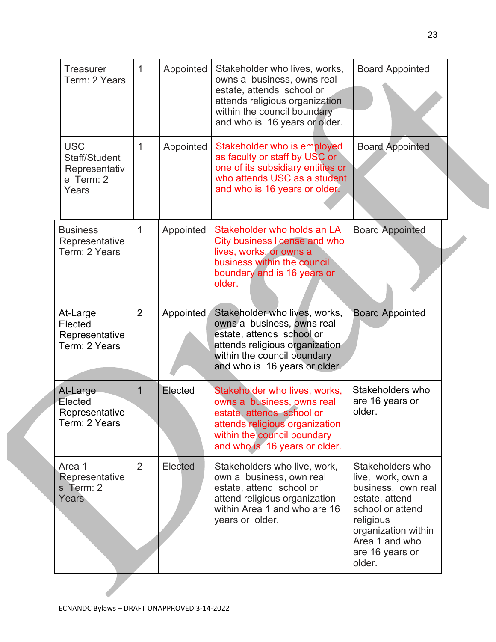| <b>Treasurer</b><br>Term: 2 Years                                  | $\mathbf{1}$   | Appointed | Stakeholder who lives, works,<br>owns a business, owns real<br>estate, attends school or<br>attends religious organization<br>within the council boundary<br>and who is 16 years or older. | <b>Board Appointed</b>                                                                                                                                                               |  |
|--------------------------------------------------------------------|----------------|-----------|--------------------------------------------------------------------------------------------------------------------------------------------------------------------------------------------|--------------------------------------------------------------------------------------------------------------------------------------------------------------------------------------|--|
| <b>USC</b><br>Staff/Student<br>Representativ<br>e Term: 2<br>Years | 1              | Appointed | Stakeholder who is employed<br>as faculty or staff by USC or<br>one of its subsidiary entities or<br>who attends USC as a student<br>and who is 16 years or older.                         | <b>Board Appointed</b>                                                                                                                                                               |  |
| <b>Business</b><br>Representative<br>Term: 2 Years                 | 1              | Appointed | Stakeholder who holds an LA<br>City business license and who<br>lives, works, or owns a<br>business within the council<br>boundary and is 16 years or<br>older.                            | <b>Board Appointed</b>                                                                                                                                                               |  |
| At-Large<br>Elected<br>Representative<br>Term: 2 Years             | $\overline{2}$ | Appointed | Stakeholder who lives, works,<br>owns a business, owns real<br>estate, attends school or<br>attends religious organization<br>within the council boundary<br>and who is 16 years or older. | <b>Board Appointed</b>                                                                                                                                                               |  |
| At-Large<br>Elected<br>Representative<br>Term: 2 Years             | 1              | Elected   | Stakeholder who lives, works,<br>owns a business, owns real<br>estate, attends school or<br>attends religious organization<br>within the council boundary<br>and who is 16 years or older. | Stakeholders who<br>are 16 years or<br>older.                                                                                                                                        |  |
| Area 1<br>Representative<br>s Term: 2<br>Years                     | $\overline{2}$ | Elected   | Stakeholders who live, work,<br>own a business, own real<br>estate, attend school or<br>attend religious organization<br>within Area 1 and who are 16<br>years or older.                   | Stakeholders who<br>live, work, own a<br>business, own real<br>estate, attend<br>school or attend<br>religious<br>organization within<br>Area 1 and who<br>are 16 years or<br>older. |  |
|                                                                    |                |           |                                                                                                                                                                                            |                                                                                                                                                                                      |  |